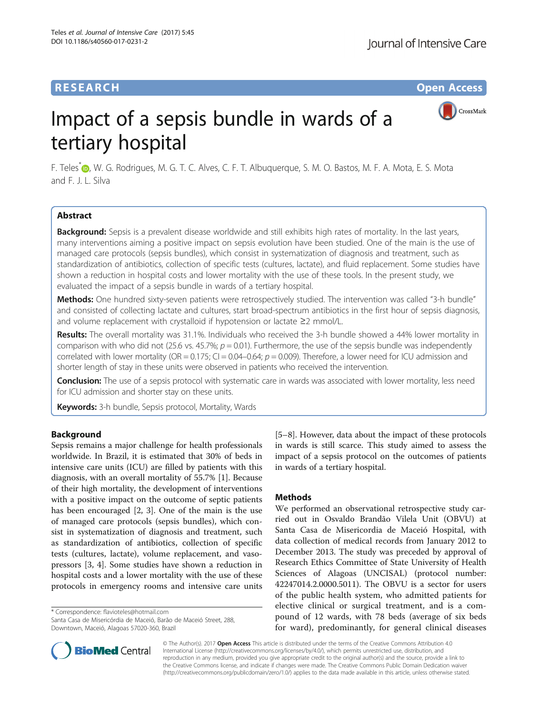CrossMark

# <span id="page-0-0"></span>Impact of a sepsis bundle in wards of a tertiary hospital

F. Teles<sup>[\\*](http://orcid.org/0000-0002-6937-5615)</sup> , W. G. Rodrigues, M. G. T. C. Alves, C. F. T. Albuquerque, S. M. O. Bastos, M. F. A. Mota, E. S. Mota and F. J. L. Silva

# Abstract

Background: Sepsis is a prevalent disease worldwide and still exhibits high rates of mortality. In the last years, many interventions aiming a positive impact on sepsis evolution have been studied. One of the main is the use of managed care protocols (sepsis bundles), which consist in systematization of diagnosis and treatment, such as standardization of antibiotics, collection of specific tests (cultures, lactate), and fluid replacement. Some studies have shown a reduction in hospital costs and lower mortality with the use of these tools. In the present study, we evaluated the impact of a sepsis bundle in wards of a tertiary hospital.

Methods: One hundred sixty-seven patients were retrospectively studied. The intervention was called "3-h bundle" and consisted of collecting lactate and cultures, start broad-spectrum antibiotics in the first hour of sepsis diagnosis, and volume replacement with crystalloid if hypotension or lactate ≥2 mmol/L.

Results: The overall mortality was 31.1%. Individuals who received the 3-h bundle showed a 44% lower mortality in comparison with who did not (25.6 vs. 45.7%;  $p = 0.01$ ). Furthermore, the use of the sepsis bundle was independently correlated with lower mortality (OR =  $0.175$ ; CI =  $0.04$ -0.64;  $p = 0.009$ ). Therefore, a lower need for ICU admission and shorter length of stay in these units were observed in patients who received the intervention.

**Conclusion:** The use of a sepsis protocol with systematic care in wards was associated with lower mortality, less need for ICU admission and shorter stay on these units.

Keywords: 3-h bundle, Sepsis protocol, Mortality, Wards

# Background

Sepsis remains a major challenge for health professionals worldwide. In Brazil, it is estimated that 30% of beds in intensive care units (ICU) are filled by patients with this diagnosis, with an overall mortality of 55.7% [[1\]](#page-4-0). Because of their high mortality, the development of interventions with a positive impact on the outcome of septic patients has been encouraged [\[2](#page-4-0), [3\]](#page-4-0). One of the main is the use of managed care protocols (sepsis bundles), which consist in systematization of diagnosis and treatment, such as standardization of antibiotics, collection of specific tests (cultures, lactate), volume replacement, and vasopressors [[3, 4](#page-4-0)]. Some studies have shown a reduction in hospital costs and a lower mortality with the use of these protocols in emergency rooms and intensive care units

\* Correspondence: [flavioteles@hotmail.com](mailto:flavioteles@hotmail.com)

Santa Casa de Misericórdia de Maceió, Barão de Maceió Street, 288, Downtown, Maceió, Alagoas 57020-360, Brazil



# **Methods**

We performed an observational retrospective study carried out in Osvaldo Brandão Vilela Unit (OBVU) at Santa Casa de Misericordia de Maceió Hospital, with data collection of medical records from January 2012 to December 2013. The study was preceded by approval of Research Ethics Committee of State University of Health Sciences of Alagoas (UNCISAL) (protocol number: 42247014.2.0000.5011). The OBVU is a sector for users of the public health system, who admitted patients for elective clinical or surgical treatment, and is a compound of 12 wards, with 78 beds (average of six beds for ward), predominantly, for general clinical diseases



© The Author(s). 2017 **Open Access** This article is distributed under the terms of the Creative Commons Attribution 4.0 International License [\(http://creativecommons.org/licenses/by/4.0/](http://creativecommons.org/licenses/by/4.0/)), which permits unrestricted use, distribution, and reproduction in any medium, provided you give appropriate credit to the original author(s) and the source, provide a link to the Creative Commons license, and indicate if changes were made. The Creative Commons Public Domain Dedication waiver [\(http://creativecommons.org/publicdomain/zero/1.0/](http://creativecommons.org/publicdomain/zero/1.0/)) applies to the data made available in this article, unless otherwise stated.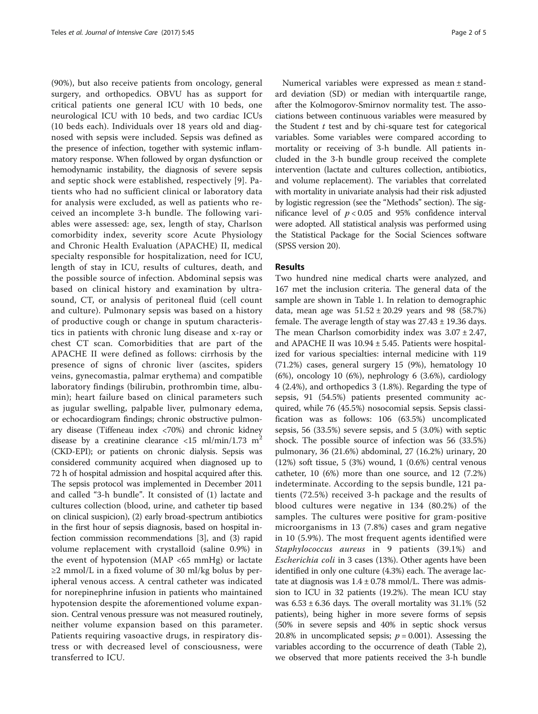(90%), but also receive patients from oncology, general surgery, and orthopedics. OBVU has as support for critical patients one general ICU with 10 beds, one neurological ICU with 10 beds, and two cardiac ICUs (10 beds each). Individuals over 18 years old and diagnosed with sepsis were included. Sepsis was defined as the presence of infection, together with systemic inflammatory response. When followed by organ dysfunction or hemodynamic instability, the diagnosis of severe sepsis and septic shock were established, respectively [[9\]](#page-4-0). Patients who had no sufficient clinical or laboratory data for analysis were excluded, as well as patients who received an incomplete 3-h bundle. The following variables were assessed: age, sex, length of stay, Charlson comorbidity index, severity score Acute Physiology and Chronic Health Evaluation (APACHE) II, medical specialty responsible for hospitalization, need for ICU, length of stay in ICU, results of cultures, death, and the possible source of infection. Abdominal sepsis was based on clinical history and examination by ultrasound, CT, or analysis of peritoneal fluid (cell count and culture). Pulmonary sepsis was based on a history of productive cough or change in sputum characteristics in patients with chronic lung disease and x-ray or chest CT scan. Comorbidities that are part of the APACHE II were defined as follows: cirrhosis by the presence of signs of chronic liver (ascites, spiders veins, gynecomastia, palmar erythema) and compatible laboratory findings (bilirubin, prothrombin time, albumin); heart failure based on clinical parameters such as jugular swelling, palpable liver, pulmonary edema, or echocardiogram findings; chronic obstructive pulmonary disease (Tiffeneau index <70%) and chronic kidney disease by a creatinine clearance <15 ml/min/1.73 m<sup>2</sup> (CKD-EPI); or patients on chronic dialysis. Sepsis was considered community acquired when diagnosed up to 72 h of hospital admission and hospital acquired after this. The sepsis protocol was implemented in December 2011 and called "3-h bundle". It consisted of (1) lactate and cultures collection (blood, urine, and catheter tip based on clinical suspicion), (2) early broad-spectrum antibiotics in the first hour of sepsis diagnosis, based on hospital infection commission recommendations [[3\]](#page-4-0), and (3) rapid volume replacement with crystalloid (saline 0.9%) in the event of hypotension (MAP <65 mmHg) or lactate ≥2 mmol/L in a fixed volume of 30 ml/kg bolus by peripheral venous access. A central catheter was indicated for norepinephrine infusion in patients who maintained hypotension despite the aforementioned volume expansion. Central venous pressure was not measured routinely, neither volume expansion based on this parameter. Patients requiring vasoactive drugs, in respiratory distress or with decreased level of consciousness, were transferred to ICU.

Numerical variables were expressed as mean ± standard deviation (SD) or median with interquartile range, after the Kolmogorov-Smirnov normality test. The associations between continuous variables were measured by the Student  $t$  test and by chi-square test for categorical variables. Some variables were compared according to mortality or receiving of 3-h bundle. All patients included in the 3-h bundle group received the complete intervention (lactate and cultures collection, antibiotics, and volume replacement). The variables that correlated with mortality in univariate analysis had their risk adjusted by logistic regression (see the "[Methods](#page-0-0)" section). The significance level of  $p < 0.05$  and 95% confidence interval were adopted. All statistical analysis was performed using the Statistical Package for the Social Sciences software (SPSS version 20).

## Results

Two hundred nine medical charts were analyzed, and 167 met the inclusion criteria. The general data of the sample are shown in Table [1.](#page-2-0) In relation to demographic data, mean age was  $51.52 \pm 20.29$  years and 98 (58.7%) female. The average length of stay was  $27.43 \pm 19.36$  days. The mean Charlson comorbidity index was  $3.07 \pm 2.47$ , and APACHE II was 10.94 ± 5.45. Patients were hospitalized for various specialties: internal medicine with 119 (71.2%) cases, general surgery 15 (9%), hematology 10 (6%), oncology 10 (6%), nephrology 6 (3.6%), cardiology 4 (2.4%), and orthopedics 3 (1.8%). Regarding the type of sepsis, 91 (54.5%) patients presented community acquired, while 76 (45.5%) nosocomial sepsis. Sepsis classification was as follows: 106 (63.5%) uncomplicated sepsis, 56 (33.5%) severe sepsis, and 5 (3.0%) with septic shock. The possible source of infection was 56 (33.5%) pulmonary, 36 (21.6%) abdominal, 27 (16.2%) urinary, 20 (12%) soft tissue, 5 (3%) wound, 1 (0.6%) central venous catheter, 10 (6%) more than one source, and 12 (7.2%) indeterminate. According to the sepsis bundle, 121 patients (72.5%) received 3-h package and the results of blood cultures were negative in 134 (80.2%) of the samples. The cultures were positive for gram-positive microorganisms in 13 (7.8%) cases and gram negative in 10 (5.9%). The most frequent agents identified were Staphylococcus aureus in 9 patients (39.1%) and Escherichia coli in 3 cases (13%). Other agents have been identified in only one culture (4.3%) each. The average lactate at diagnosis was  $1.4 \pm 0.78$  mmol/L. There was admission to ICU in 32 patients (19.2%). The mean ICU stay was  $6.53 \pm 6.36$  days. The overall mortality was  $31.1\%$  (52 patients), being higher in more severe forms of sepsis (50% in severe sepsis and 40% in septic shock versus 20.8% in uncomplicated sepsis;  $p = 0.001$ ). Assessing the variables according to the occurrence of death (Table [2](#page-2-0)), we observed that more patients received the 3-h bundle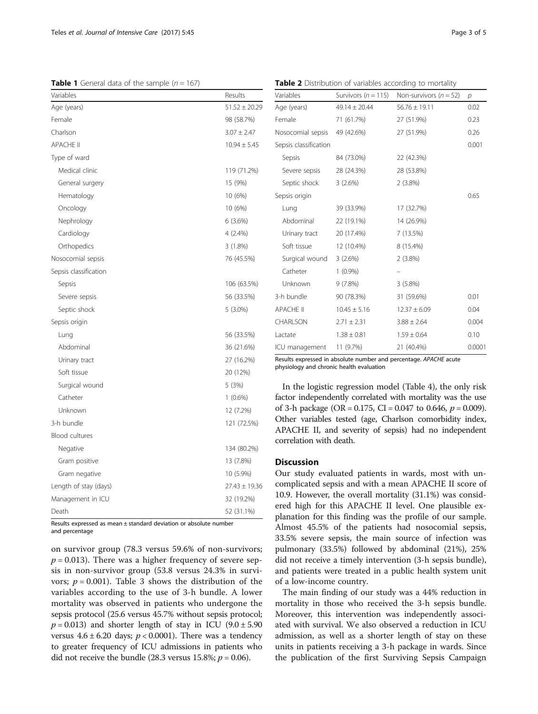<span id="page-2-0"></span>**Table 1** General data of the sample  $(n = 167)$ 

| Variables             | Results           |
|-----------------------|-------------------|
| Age (years)           | $51.52 \pm 20.29$ |
| Female                | 98 (58.7%)        |
| Charlson              | $3.07 \pm 2.47$   |
| <b>APACHE II</b>      | $10.94 \pm 5.45$  |
| Type of ward          |                   |
| Medical clinic        | 119 (71.2%)       |
| General surgery       | 15 (9%)           |
| Hematology            | 10 (6%)           |
| Oncology              | 10 (6%)           |
| Nephrology            | 6(3.6%)           |
| Cardiology            | 4(2.4%)           |
| Orthopedics           | 3 (1.8%)          |
| Nosocomial sepsis     | 76 (45.5%)        |
| Sepsis classification |                   |
| Sepsis                | 106 (63.5%)       |
| Severe sepsis         | 56 (33.5%)        |
| Septic shock          | 5 (3.0%)          |
| Sepsis origin         |                   |
| Lung                  | 56 (33.5%)        |
| Abdominal             | 36 (21.6%)        |
| Urinary tract         | 27 (16.2%)        |
| Soft tissue           | 20 (12%)          |
| Surgical wound        | 5 (3%)            |
| Catheter              | $1(0.6\%)$        |
| Unknown               | 12 (7.2%)         |
| 3-h bundle            | 121 (72.5%)       |
| <b>Blood cultures</b> |                   |
| Negative              | 134 (80.2%)       |
| Gram positive         | 13 (7.8%)         |
| Gram negative         | 10 (5.9%)         |
| Length of stay (days) | $27.43 \pm 19.36$ |
| Management in ICU     | 32 (19.2%)        |
| Death                 | 52 (31.1%)        |

Results expressed as mean ± standard deviation or absolute number and percentage

on survivor group (78.3 versus 59.6% of non-survivors;  $p = 0.013$ ). There was a higher frequency of severe sepsis in non-survivor group (53.8 versus 24.3% in survivors;  $p = 0.001$ ). Table [3](#page-3-0) shows the distribution of the variables according to the use of 3-h bundle. A lower mortality was observed in patients who undergone the sepsis protocol (25.6 versus 45.7% without sepsis protocol;  $p = 0.013$ ) and shorter length of stay in ICU (9.0  $\pm$  5.90 versus  $4.6 \pm 6.20$  days;  $p < 0.0001$ ). There was a tendency to greater frequency of ICU admissions in patients who did not receive the bundle (28.3 versus 15.8%;  $p = 0.06$ ).

Variables Survivors ( $n = 115$ ) Non-survivors ( $n = 52$ ) p Age (years)  $49.14 \pm 20.44$   $56.76 \pm 19.11$  0.02 Female 71 (61.7%) 27 (51.9%) 0.23 Nosocomial sepsis 49 (42.6%) 27 (51.9%) 0.26 Sepsis classification 0.001 Sepsis 84 (73.0%) 22 (42.3%) Severe sepsis 28 (24.3%) 28 (53.8%) Septic shock 3 (2.6%) 2 (3.8%) Sepsis origin 0.65 Lung 39 (33.9%) 17 (32.7%) Abdominal 22 (19.1%) 14 (26.9%) Urinary tract 20 (17.4%) 7 (13.5%) Soft tissue 12 (10.4%) 8 (15.4%) Surgical wound 3 (2.6%) 2 (3.8%) Catheter 1 (0.9%) Unknown 9 (7.8%) 3 (5.8%) 3-h bundle 90 (78.3%) 31 (59.6%) 0.01 APACHE II 10.45  $\pm$  5.16 12.37  $\pm$  6.09 0.04 CHARLSON  $2.71 \pm 2.31$   $3.88 \pm 2.64$  0.004 Lactate 1.38 + 0.81 1.59 + 0.64 0.10 ICU management 11 (9.7%) 21 (40.4%) 0.0001

|  | Table 2 Distribution of variables according to mortality |  |  |  |  |  |
|--|----------------------------------------------------------|--|--|--|--|--|
|--|----------------------------------------------------------|--|--|--|--|--|

Results expressed in absolute number and percentage. APACHE acute physiology and chronic health evaluation

In the logistic regression model (Table [4\)](#page-3-0), the only risk factor independently correlated with mortality was the use of 3-h package (OR = 0.175, CI = 0.047 to 0.646,  $p = 0.009$ ). Other variables tested (age, Charlson comorbidity index, APACHE II, and severity of sepsis) had no independent correlation with death.

# **Discussion**

Our study evaluated patients in wards, most with uncomplicated sepsis and with a mean APACHE II score of 10.9. However, the overall mortality (31.1%) was considered high for this APACHE II level. One plausible explanation for this finding was the profile of our sample. Almost 45.5% of the patients had nosocomial sepsis, 33.5% severe sepsis, the main source of infection was pulmonary (33.5%) followed by abdominal (21%), 25% did not receive a timely intervention (3-h sepsis bundle), and patients were treated in a public health system unit of a low-income country.

The main finding of our study was a 44% reduction in mortality in those who received the 3-h sepsis bundle. Moreover, this intervention was independently associated with survival. We also observed a reduction in ICU admission, as well as a shorter length of stay on these units in patients receiving a 3-h package in wards. Since the publication of the first Surviving Sepsis Campaign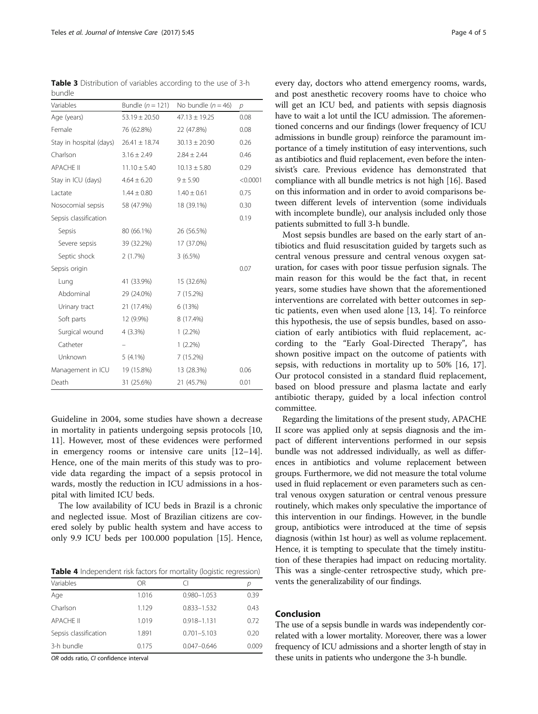<span id="page-3-0"></span>Table 3 Distribution of variables according to the use of 3-h bundle

| Variables               | Bundle $(n = 121)$ | No bundle $(n = 46)$ | $\mathcal{D}$ |
|-------------------------|--------------------|----------------------|---------------|
| Age (years)             | $53.19 \pm 20.50$  | $47.13 \pm 19.25$    | 0.08          |
| Female                  | 76 (62.8%)         | 22 (47.8%)           | 0.08          |
| Stay in hospital (days) | $26.41 \pm 18.74$  | $30.13 \pm 20.90$    | 0.26          |
| Charlson                | $3.16 \pm 2.49$    | $2.84 \pm 2.44$      | 0.46          |
| <b>APACHE II</b>        | $11.10 \pm 5.40$   | $10.13 \pm 5.80$     | 0.29          |
| Stay in ICU (days)      | $4.64 \pm 6.20$    | 9 ± 5.90             | < 0.0001      |
| Lactate                 | $1.44 \pm 0.80$    | $1.40 \pm 0.61$      | 0.75          |
| Nosocomial sepsis       | 58 (47.9%)         | 18 (39.1%)           | 0.30          |
| Sepsis classification   |                    |                      | 0.19          |
| Sepsis                  | 80 (66.1%)         | 26 (56.5%)           |               |
| Severe sepsis           | 39 (32.2%)         | 17 (37.0%)           |               |
| Septic shock            | 2(1.7%)            | 3(6.5%)              |               |
| Sepsis origin           |                    |                      | 0.07          |
| Lung                    | 41 (33.9%)         | 15 (32.6%)           |               |
| Abdominal               | 29 (24.0%)         | 7 (15.2%)            |               |
| Urinary tract           | 21 (17.4%)         | 6 (13%)              |               |
| Soft parts              | 12 (9.9%)          | 8 (17.4%)            |               |
| Surgical wound          | $4(3.3\%)$         | $1(2.2\%)$           |               |
| Catheter                |                    | $1(2.2\%)$           |               |
| Unknown                 | $5(4.1\%)$         | 7 (15.2%)            |               |
| Management in ICU       | 19 (15.8%)         | 13 (28.3%)           | 0.06          |
| Death                   | 31 (25.6%)         | 21 (45.7%)           | 0.01          |

Guideline in 2004, some studies have shown a decrease in mortality in patients undergoing sepsis protocols [[10](#page-4-0), [11\]](#page-4-0). However, most of these evidences were performed in emergency rooms or intensive care units [[12](#page-4-0)–[14](#page-4-0)]. Hence, one of the main merits of this study was to provide data regarding the impact of a sepsis protocol in wards, mostly the reduction in ICU admissions in a hospital with limited ICU beds.

The low availability of ICU beds in Brazil is a chronic and neglected issue. Most of Brazilian citizens are covered solely by public health system and have access to only 9.9 ICU beds per 100.000 population [[15\]](#page-4-0). Hence,

Table 4 Independent risk factors for mortality (logistic regression)

| Variables             | ΟR    |                 | D     |
|-----------------------|-------|-----------------|-------|
| Age                   | 1.016 | $0.980 - 1.053$ | 0.39  |
| Charlson              | 1.129 | 0.833-1.532     | 0.43  |
| APACHE II             | 1.019 | $0.918 - 1.131$ | 0.72  |
| Sepsis classification | 1.891 | $0.701 - 5.103$ | 0.20  |
| 3-h bundle            | 0.175 | $0.047 - 0.646$ | 0.009 |

OR odds ratio, CI confidence interval

every day, doctors who attend emergency rooms, wards, and post anesthetic recovery rooms have to choice who will get an ICU bed, and patients with sepsis diagnosis have to wait a lot until the ICU admission. The aforementioned concerns and our findings (lower frequency of ICU admissions in bundle group) reinforce the paramount importance of a timely institution of easy interventions, such as antibiotics and fluid replacement, even before the intensivist's care. Previous evidence has demonstrated that compliance with all bundle metrics is not high [\[16](#page-4-0)]. Based on this information and in order to avoid comparisons between different levels of intervention (some individuals with incomplete bundle), our analysis included only those patients submitted to full 3-h bundle.

Most sepsis bundles are based on the early start of antibiotics and fluid resuscitation guided by targets such as central venous pressure and central venous oxygen saturation, for cases with poor tissue perfusion signals. The main reason for this would be the fact that, in recent years, some studies have shown that the aforementioned interventions are correlated with better outcomes in septic patients, even when used alone [[13](#page-4-0), [14\]](#page-4-0). To reinforce this hypothesis, the use of sepsis bundles, based on association of early antibiotics with fluid replacement, according to the "Early Goal-Directed Therapy", has shown positive impact on the outcome of patients with sepsis, with reductions in mortality up to 50% [\[16](#page-4-0), [17](#page-4-0)]. Our protocol consisted in a standard fluid replacement, based on blood pressure and plasma lactate and early antibiotic therapy, guided by a local infection control committee.

Regarding the limitations of the present study, APACHE II score was applied only at sepsis diagnosis and the impact of different interventions performed in our sepsis bundle was not addressed individually, as well as differences in antibiotics and volume replacement between groups. Furthermore, we did not measure the total volume used in fluid replacement or even parameters such as central venous oxygen saturation or central venous pressure routinely, which makes only speculative the importance of this intervention in our findings. However, in the bundle group, antibiotics were introduced at the time of sepsis diagnosis (within 1st hour) as well as volume replacement. Hence, it is tempting to speculate that the timely institution of these therapies had impact on reducing mortality. This was a single-center retrospective study, which prevents the generalizability of our findings.

# Conclusion

The use of a sepsis bundle in wards was independently correlated with a lower mortality. Moreover, there was a lower frequency of ICU admissions and a shorter length of stay in these units in patients who undergone the 3-h bundle.